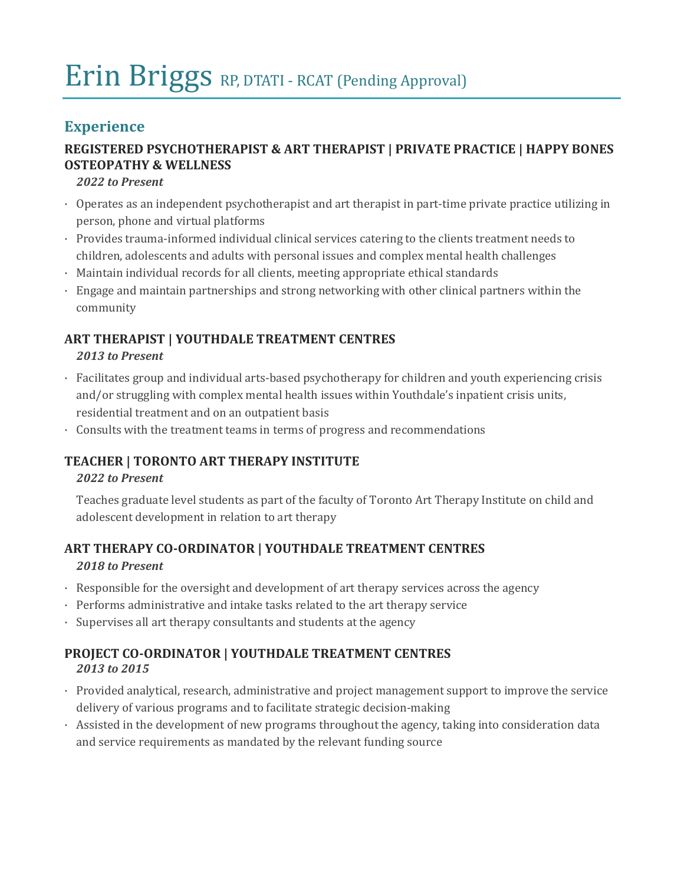# Erin Briggs RP, DTATI - RCAT (Pending Approval)

# **Experience**

## **REGISTERED PSYCHOTHERAPIST & ART THERAPIST | PRIVATE PRACTICE | HAPPY BONES OSTEOPATHY & WELLNESS**

*2022 to Present*

- · Operates as an independent psychotherapist and art therapist in part-time private practice utilizing in person, phone and virtual platforms
- · Provides trauma-informed individual clinical services catering to the clients treatment needs to children, adolescents and adults with personal issues and complex mental health challenges
- · Maintain individual records for all clients, meeting appropriate ethical standards
- · Engage and maintain partnerships and strong networking with other clinical partners within the community

# **ART THERAPIST | YOUTHDALE TREATMENT CENTRES**

#### *2013 to Present*

- · Facilitates group and individual arts-based psychotherapy for children and youth experiencing crisis and/or struggling with complex mental health issues within Youthdale's inpatient crisis units, residential treatment and on an outpatient basis
- · Consults with the treatment teams in terms of progress and recommendations

# **TEACHER | TORONTO ART THERAPY INSTITUTE**

#### *2022 to Present*

Teaches graduate level students as part of the faculty of Toronto Art Therapy Institute on child and adolescent development in relation to art therapy

## **ART THERAPY CO-ORDINATOR | YOUTHDALE TREATMENT CENTRES** *2018 to Present*

- · Responsible for the oversight and development of art therapy services across the agency
- · Performs administrative and intake tasks related to the art therapy service
- · Supervises all art therapy consultants and students at the agency

## **PROJECT CO-ORDINATOR | YOUTHDALE TREATMENT CENTRES** *2013 to 2015*

- · Provided analytical, research, administrative and project management support to improve the service delivery of various programs and to facilitate strategic decision-making
- · Assisted in the development of new programs throughout the agency, taking into consideration data and service requirements as mandated by the relevant funding source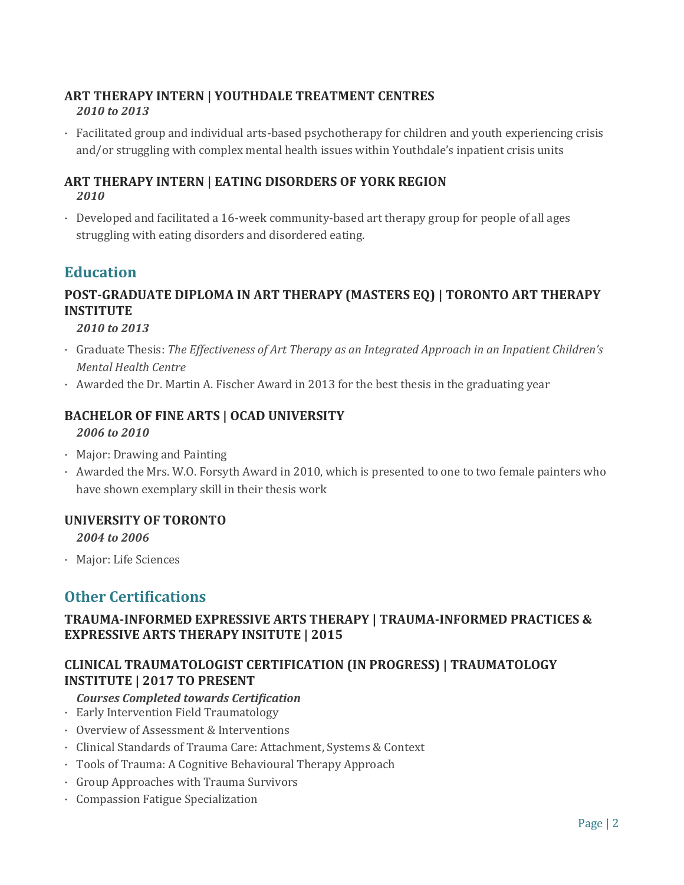#### **ART THERAPY INTERN | YOUTHDALE TREATMENT CENTRES** *2010 to 2013*

· Facilitated group and individual arts-based psychotherapy for children and youth experiencing crisis and/or struggling with complex mental health issues within Youthdale's inpatient crisis units

#### **ART THERAPY INTERN | EATING DISORDERS OF YORK REGION** *2010*

· Developed and facilitated a 16-week community-based art therapy group for people of all ages struggling with eating disorders and disordered eating.

# **Education**

# **POST-GRADUATE DIPLOMA IN ART THERAPY (MASTERS EQ) | TORONTO ART THERAPY INSTITUTE**

*2010 to 2013*

- · Graduate Thesis: *The Effectiveness of Art Therapy as an Integrated Approach in an Inpatient Children's Mental Health Centre*
- · Awarded the Dr. Martin A. Fischer Award in 2013 for the best thesis in the graduating year

#### **BACHELOR OF FINE ARTS | OCAD UNIVERSITY**

*2006 to 2010*

- · Major: Drawing and Painting
- · Awarded the Mrs. W.O. Forsyth Award in 2010, which is presented to one to two female painters who have shown exemplary skill in their thesis work

#### **UNIVERSITY OF TORONTO**

*2004 to 2006*

· Major: Life Sciences

# **Other Certifications**

#### **TRAUMA-INFORMED EXPRESSIVE ARTS THERAPY | TRAUMA-INFORMED PRACTICES & EXPRESSIVE ARTS THERAPY INSITUTE | 2015**

## **CLINICAL TRAUMATOLOGIST CERTIFICATION (IN PROGRESS) | TRAUMATOLOGY INSTITUTE | 2017 TO PRESENT**

- *Courses Completed towards Certification*
- · Early Intervention Field Traumatology
- · Overview of Assessment & Interventions
- · Clinical Standards of Trauma Care: Attachment, Systems & Context
- · Tools of Trauma: A Cognitive Behavioural Therapy Approach
- · Group Approaches with Trauma Survivors
- · Compassion Fatigue Specialization